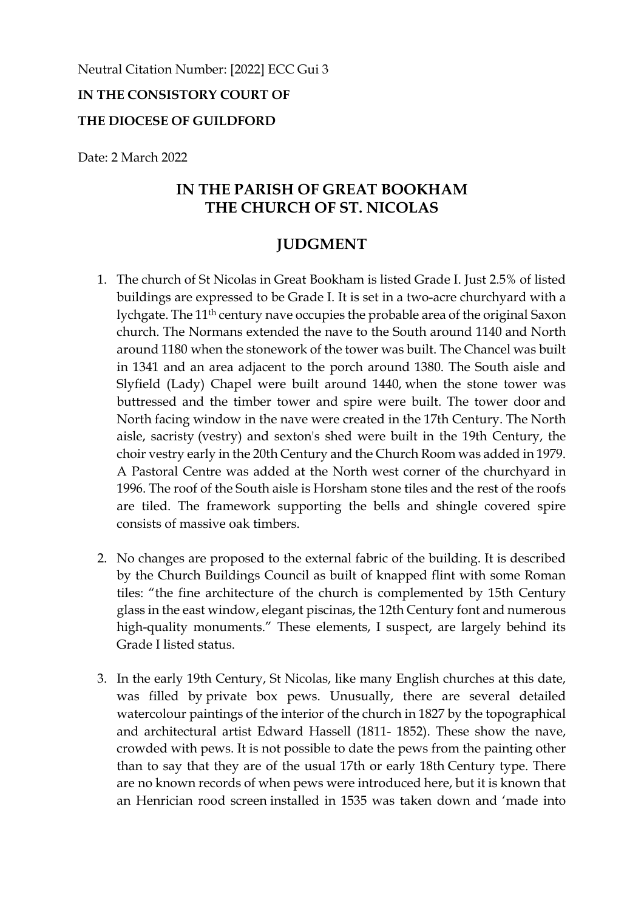#### Neutral Citation Number: [2022] ECC Gui 3

### **IN THE CONSISTORY COURT OF**

#### **THE DIOCESE OF GUILDFORD**

Date: 2 March 2022

## **IN THE PARISH OF GREAT BOOKHAM THE CHURCH OF ST. NICOLAS**

# **JUDGMENT**

- 1. The church of St Nicolas in Great Bookham is listed Grade I. Just 2.5% of listed buildings are expressed to be Grade I. It is set in a two-acre churchyard with a lychgate. The 11th century nave occupies the probable area of the original Saxon church. The Normans extended the nave to the South around 1140 and North around 1180 when the stonework of the tower was built. The Chancel was built in 1341 and an area adjacent to the porch around 1380. The South aisle and Slyfield (Lady) Chapel were built around 1440, when the stone tower was buttressed and the timber tower and spire were built. The tower door and North facing window in the nave were created in the 17th Century. The North aisle, sacristy (vestry) and sexton's shed were built in the 19th Century, the choir vestry early in the 20th Century and the Church Room was added in 1979. A Pastoral Centre was added at the North west corner of the churchyard in 1996. The roof of the South aisle is Horsham stone tiles and the rest of the roofs are tiled. The framework supporting the bells and shingle covered spire consists of massive oak timbers.
- 2. No changes are proposed to the external fabric of the building. It is described by the Church Buildings Council as built of knapped flint with some Roman tiles: "the fine architecture of the church is complemented by 15th Century glass in the east window, elegant piscinas, the 12th Century font and numerous high-quality monuments." These elements, I suspect, are largely behind its Grade I listed status.
- 3. In the early 19th Century, St Nicolas, like many English churches at this date, was filled by private box pews. Unusually, there are several detailed watercolour paintings of the interior of the church in 1827 by the topographical and architectural artist Edward Hassell (1811- 1852). These show the nave, crowded with pews. It is not possible to date the pews from the painting other than to say that they are of the usual 17th or early 18th Century type. There are no known records of when pews were introduced here, but it is known that an Henrician rood screen installed in 1535 was taken down and 'made into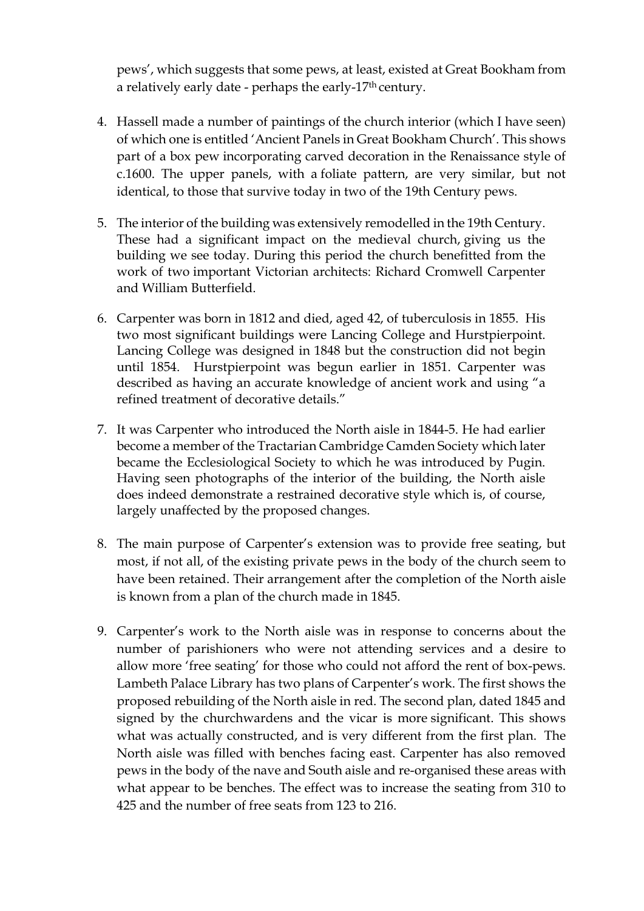pews', which suggests that some pews, at least, existed at Great Bookham from a relatively early date - perhaps the early-17th century.

- 4. Hassell made a number of paintings of the church interior (which I have seen) of which one is entitled 'Ancient Panels in Great Bookham Church'. This shows part of a box pew incorporating carved decoration in the Renaissance style of c.1600. The upper panels, with a foliate pattern, are very similar, but not identical, to those that survive today in two of the 19th Century pews.
- 5. The interior of the building was extensively remodelled in the 19th Century. These had a significant impact on the medieval church, giving us the building we see today. During this period the church benefitted from the work of two important Victorian architects: Richard Cromwell Carpenter and William Butterfield.
- 6. Carpenter was born in 1812 and died, aged 42, of tuberculosis in 1855. His two most significant buildings were Lancing College and Hurstpierpoint. Lancing College was designed in 1848 but the construction did not begin until 1854. Hurstpierpoint was begun earlier in 1851. Carpenter was described as having an accurate knowledge of ancient work and using "a refined treatment of decorative details."
- 7. It was Carpenter who introduced the North aisle in 1844-5. He had earlier become a member of the Tractarian Cambridge Camden Society which later became the Ecclesiological Society to which he was introduced by Pugin. Having seen photographs of the interior of the building, the North aisle does indeed demonstrate a restrained decorative style which is, of course, largely unaffected by the proposed changes.
- 8. The main purpose of Carpenter's extension was to provide free seating, but most, if not all, of the existing private pews in the body of the church seem to have been retained. Their arrangement after the completion of the North aisle is known from a plan of the church made in 1845.
- 9. Carpenter's work to the North aisle was in response to concerns about the number of parishioners who were not attending services and a desire to allow more 'free seating' for those who could not afford the rent of box-pews. Lambeth Palace Library has two plans of Carpenter's work. The first shows the proposed rebuilding of the North aisle in red. The second plan, dated 1845 and signed by the churchwardens and the vicar is more significant. This shows what was actually constructed, and is very different from the first plan. The North aisle was filled with benches facing east. Carpenter has also removed pews in the body of the nave and South aisle and re-organised these areas with what appear to be benches. The effect was to increase the seating from 310 to 425 and the number of free seats from 123 to 216.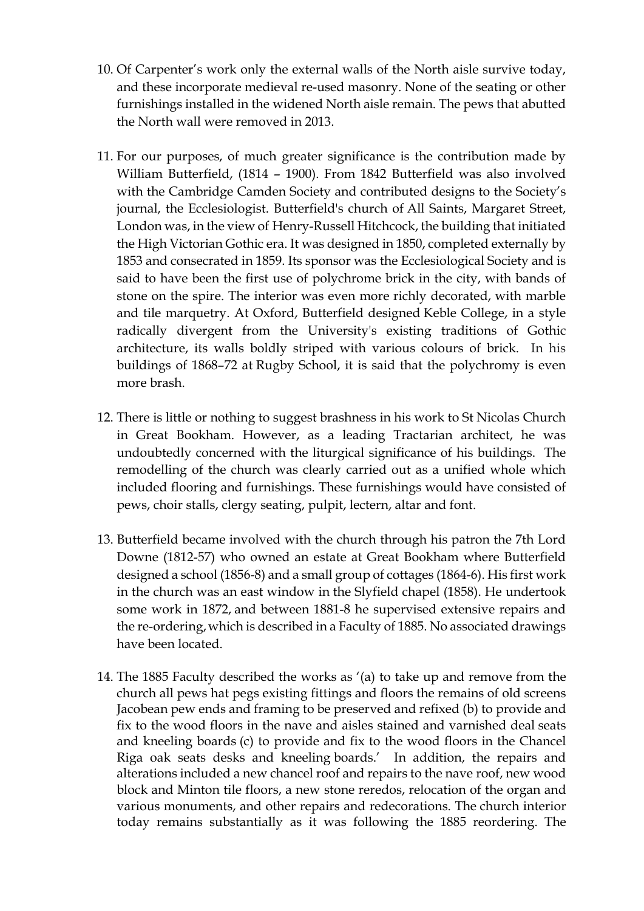- 10. Of Carpenter's work only the external walls of the North aisle survive today, and these incorporate medieval re-used masonry. None of the seating or other furnishings installed in the widened North aisle remain. The pews that abutted the North wall were removed in 2013.
- 11. For our purposes, of much greater significance is the contribution made by William Butterfield, (1814 – 1900). From 1842 Butterfield was also involved with the Cambridge Camden Society and contributed designs to the Society's journal, the Ecclesiologist. Butterfield's church of All Saints, Margaret Street, London was, in the view of Henry-Russell Hitchcock, the building that initiated the High Victorian Gothic era. It was designed in 1850, completed externally by 1853 and consecrated in 1859. Its sponsor was the Ecclesiological Society and is said to have been the first use of polychrome brick in the city, with bands of stone on the spire. The interior was even more richly decorated, with marble and tile marquetry. At Oxford, Butterfield designed Keble College, in a style radically divergent from the University's existing traditions of Gothic architecture, its walls boldly striped with various colours of brick. In his buildings of 1868–72 at Rugby School, it is said that the polychromy is even more brash.
- 12. There is little or nothing to suggest brashness in his work to St Nicolas Church in Great Bookham. However, as a leading Tractarian architect, he was undoubtedly concerned with the liturgical significance of his buildings. The remodelling of the church was clearly carried out as a unified whole which included flooring and furnishings. These furnishings would have consisted of pews, choir stalls, clergy seating, pulpit, lectern, altar and font.
- 13. Butterfield became involved with the church through his patron the 7th Lord Downe (1812-57) who owned an estate at Great Bookham where Butterfield designed a school (1856-8) and a small group of cottages (1864-6). His first work in the church was an east window in the Slyfield chapel (1858). He undertook some work in 1872, and between 1881-8 he supervised extensive repairs and the re-ordering,which is described in a Faculty of 1885. No associated drawings have been located.
- 14. The 1885 Faculty described the works as '(a) to take up and remove from the church all pews hat pegs existing fittings and floors the remains of old screens Jacobean pew ends and framing to be preserved and refixed (b) to provide and fix to the wood floors in the nave and aisles stained and varnished deal seats and kneeling boards (c) to provide and fix to the wood floors in the Chancel Riga oak seats desks and kneeling boards.' In addition, the repairs and alterations included a new chancel roof and repairs to the nave roof, new wood block and Minton tile floors, a new stone reredos, relocation of the organ and various monuments, and other repairs and redecorations. The church interior today remains substantially as it was following the 1885 reordering. The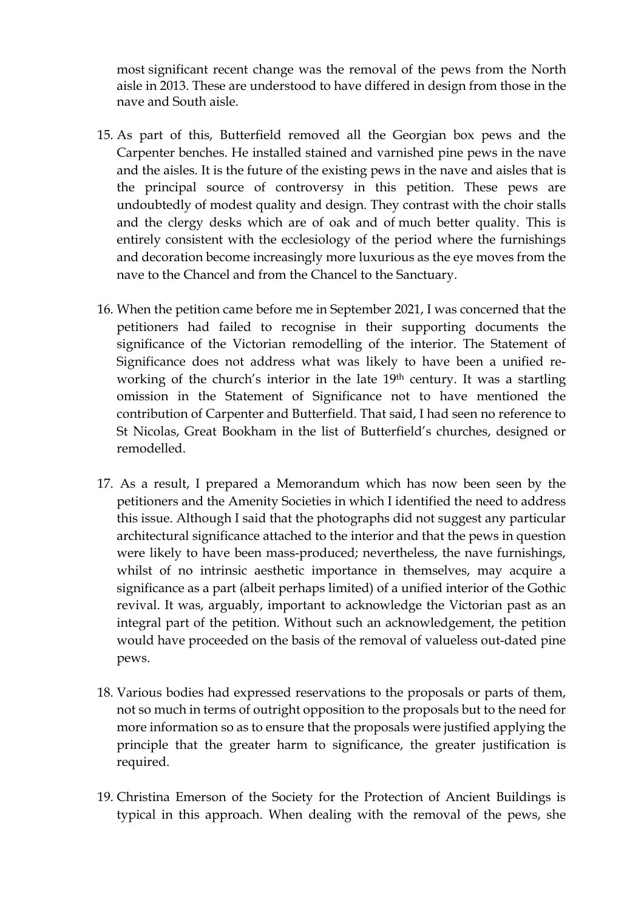most significant recent change was the removal of the pews from the North aisle in 2013. These are understood to have differed in design from those in the nave and South aisle.

- 15. As part of this, Butterfield removed all the Georgian box pews and the Carpenter benches. He installed stained and varnished pine pews in the nave and the aisles. It is the future of the existing pews in the nave and aisles that is the principal source of controversy in this petition. These pews are undoubtedly of modest quality and design. They contrast with the choir stalls and the clergy desks which are of oak and of much better quality. This is entirely consistent with the ecclesiology of the period where the furnishings and decoration become increasingly more luxurious as the eye moves from the nave to the Chancel and from the Chancel to the Sanctuary.
- 16. When the petition came before me in September 2021, I was concerned that the petitioners had failed to recognise in their supporting documents the significance of the Victorian remodelling of the interior. The Statement of Significance does not address what was likely to have been a unified reworking of the church's interior in the late 19<sup>th</sup> century. It was a startling omission in the Statement of Significance not to have mentioned the contribution of Carpenter and Butterfield. That said, I had seen no reference to St Nicolas, Great Bookham in the list of Butterfield's churches, designed or remodelled.
- 17. As a result, I prepared a Memorandum which has now been seen by the petitioners and the Amenity Societies in which I identified the need to address this issue. Although I said that the photographs did not suggest any particular architectural significance attached to the interior and that the pews in question were likely to have been mass-produced; nevertheless, the nave furnishings, whilst of no intrinsic aesthetic importance in themselves, may acquire a significance as a part (albeit perhaps limited) of a unified interior of the Gothic revival. It was, arguably, important to acknowledge the Victorian past as an integral part of the petition. Without such an acknowledgement, the petition would have proceeded on the basis of the removal of valueless out-dated pine pews.
- 18. Various bodies had expressed reservations to the proposals or parts of them, not so much in terms of outright opposition to the proposals but to the need for more information so as to ensure that the proposals were justified applying the principle that the greater harm to significance, the greater justification is required.
- 19. Christina Emerson of the Society for the Protection of Ancient Buildings is typical in this approach. When dealing with the removal of the pews, she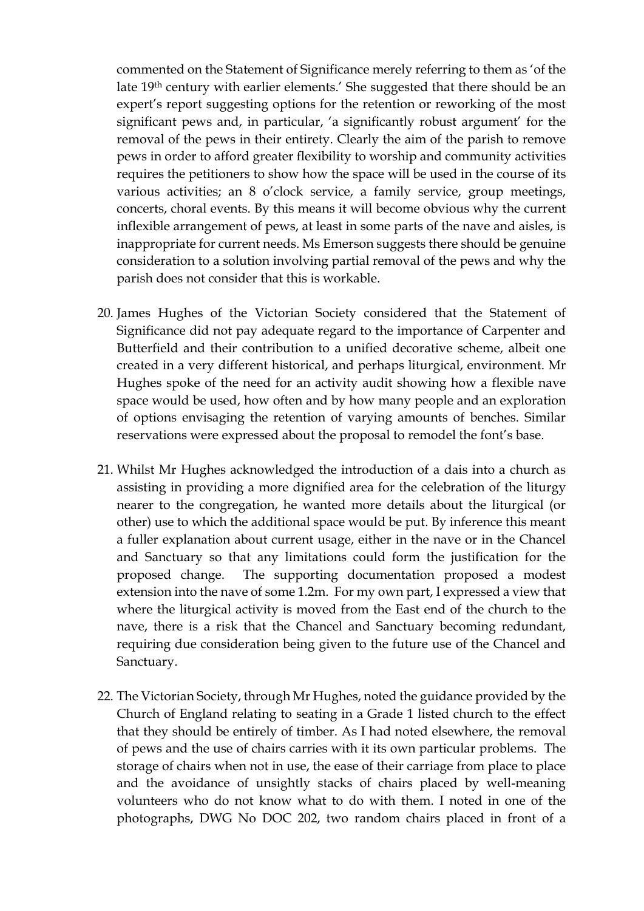commented on the Statement of Significance merely referring to them as 'of the late 19th century with earlier elements.' She suggested that there should be an expert's report suggesting options for the retention or reworking of the most significant pews and, in particular, 'a significantly robust argument' for the removal of the pews in their entirety. Clearly the aim of the parish to remove pews in order to afford greater flexibility to worship and community activities requires the petitioners to show how the space will be used in the course of its various activities; an 8 o'clock service, a family service, group meetings, concerts, choral events. By this means it will become obvious why the current inflexible arrangement of pews, at least in some parts of the nave and aisles, is inappropriate for current needs. Ms Emerson suggests there should be genuine consideration to a solution involving partial removal of the pews and why the parish does not consider that this is workable.

- 20. James Hughes of the Victorian Society considered that the Statement of Significance did not pay adequate regard to the importance of Carpenter and Butterfield and their contribution to a unified decorative scheme, albeit one created in a very different historical, and perhaps liturgical, environment. Mr Hughes spoke of the need for an activity audit showing how a flexible nave space would be used, how often and by how many people and an exploration of options envisaging the retention of varying amounts of benches. Similar reservations were expressed about the proposal to remodel the font's base.
- 21. Whilst Mr Hughes acknowledged the introduction of a dais into a church as assisting in providing a more dignified area for the celebration of the liturgy nearer to the congregation, he wanted more details about the liturgical (or other) use to which the additional space would be put. By inference this meant a fuller explanation about current usage, either in the nave or in the Chancel and Sanctuary so that any limitations could form the justification for the proposed change. The supporting documentation proposed a modest extension into the nave of some 1.2m. For my own part, I expressed a view that where the liturgical activity is moved from the East end of the church to the nave, there is a risk that the Chancel and Sanctuary becoming redundant, requiring due consideration being given to the future use of the Chancel and Sanctuary.
- 22. The Victorian Society, through Mr Hughes, noted the guidance provided by the Church of England relating to seating in a Grade 1 listed church to the effect that they should be entirely of timber. As I had noted elsewhere, the removal of pews and the use of chairs carries with it its own particular problems. The storage of chairs when not in use, the ease of their carriage from place to place and the avoidance of unsightly stacks of chairs placed by well-meaning volunteers who do not know what to do with them. I noted in one of the photographs, DWG No DOC 202, two random chairs placed in front of a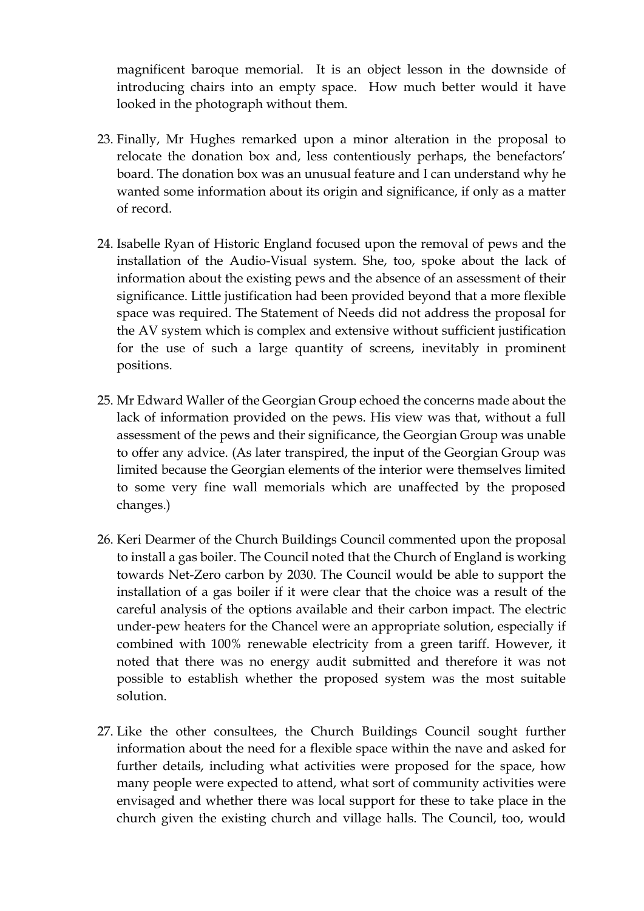magnificent baroque memorial. It is an object lesson in the downside of introducing chairs into an empty space. How much better would it have looked in the photograph without them.

- 23. Finally, Mr Hughes remarked upon a minor alteration in the proposal to relocate the donation box and, less contentiously perhaps, the benefactors' board. The donation box was an unusual feature and I can understand why he wanted some information about its origin and significance, if only as a matter of record.
- 24. Isabelle Ryan of Historic England focused upon the removal of pews and the installation of the Audio-Visual system. She, too, spoke about the lack of information about the existing pews and the absence of an assessment of their significance. Little justification had been provided beyond that a more flexible space was required. The Statement of Needs did not address the proposal for the AV system which is complex and extensive without sufficient justification for the use of such a large quantity of screens, inevitably in prominent positions.
- 25. Mr Edward Waller of the Georgian Group echoed the concerns made about the lack of information provided on the pews. His view was that, without a full assessment of the pews and their significance, the Georgian Group was unable to offer any advice. (As later transpired, the input of the Georgian Group was limited because the Georgian elements of the interior were themselves limited to some very fine wall memorials which are unaffected by the proposed changes.)
- 26. Keri Dearmer of the Church Buildings Council commented upon the proposal to install a gas boiler. The Council noted that the Church of England is working towards Net-Zero carbon by 2030. The Council would be able to support the installation of a gas boiler if it were clear that the choice was a result of the careful analysis of the options available and their carbon impact. The electric under-pew heaters for the Chancel were an appropriate solution, especially if combined with 100% renewable electricity from a green tariff. However, it noted that there was no energy audit submitted and therefore it was not possible to establish whether the proposed system was the most suitable solution.
- 27. Like the other consultees, the Church Buildings Council sought further information about the need for a flexible space within the nave and asked for further details, including what activities were proposed for the space, how many people were expected to attend, what sort of community activities were envisaged and whether there was local support for these to take place in the church given the existing church and village halls. The Council, too, would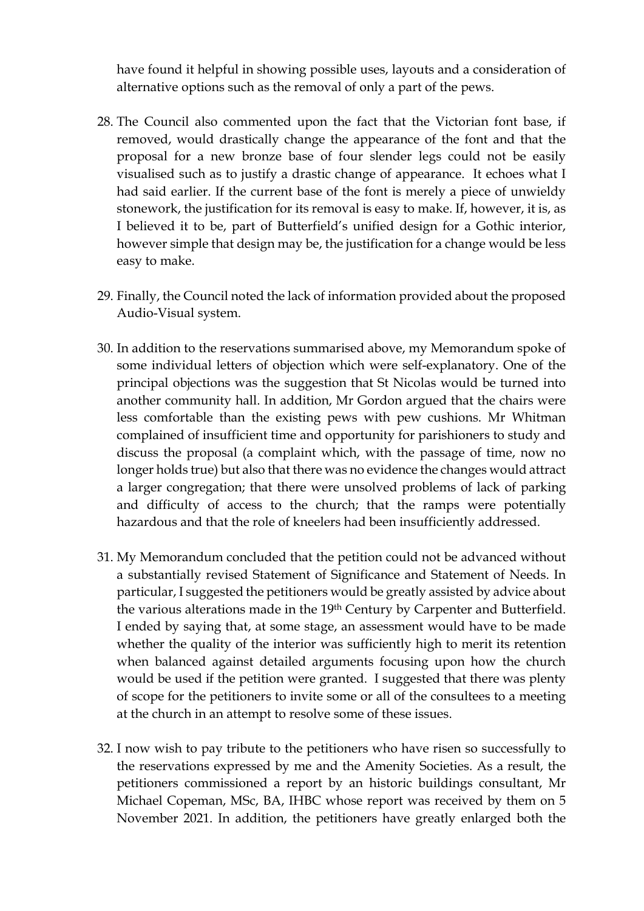have found it helpful in showing possible uses, layouts and a consideration of alternative options such as the removal of only a part of the pews.

- 28. The Council also commented upon the fact that the Victorian font base, if removed, would drastically change the appearance of the font and that the proposal for a new bronze base of four slender legs could not be easily visualised such as to justify a drastic change of appearance. It echoes what I had said earlier. If the current base of the font is merely a piece of unwieldy stonework, the justification for its removal is easy to make. If, however, it is, as I believed it to be, part of Butterfield's unified design for a Gothic interior, however simple that design may be, the justification for a change would be less easy to make.
- 29. Finally, the Council noted the lack of information provided about the proposed Audio-Visual system.
- 30. In addition to the reservations summarised above, my Memorandum spoke of some individual letters of objection which were self-explanatory. One of the principal objections was the suggestion that St Nicolas would be turned into another community hall. In addition, Mr Gordon argued that the chairs were less comfortable than the existing pews with pew cushions. Mr Whitman complained of insufficient time and opportunity for parishioners to study and discuss the proposal (a complaint which, with the passage of time, now no longer holds true) but also that there was no evidence the changes would attract a larger congregation; that there were unsolved problems of lack of parking and difficulty of access to the church; that the ramps were potentially hazardous and that the role of kneelers had been insufficiently addressed.
- 31. My Memorandum concluded that the petition could not be advanced without a substantially revised Statement of Significance and Statement of Needs. In particular, I suggested the petitioners would be greatly assisted by advice about the various alterations made in the 19th Century by Carpenter and Butterfield. I ended by saying that, at some stage, an assessment would have to be made whether the quality of the interior was sufficiently high to merit its retention when balanced against detailed arguments focusing upon how the church would be used if the petition were granted. I suggested that there was plenty of scope for the petitioners to invite some or all of the consultees to a meeting at the church in an attempt to resolve some of these issues.
- 32. I now wish to pay tribute to the petitioners who have risen so successfully to the reservations expressed by me and the Amenity Societies. As a result, the petitioners commissioned a report by an historic buildings consultant, Mr Michael Copeman, MSc, BA, IHBC whose report was received by them on 5 November 2021. In addition, the petitioners have greatly enlarged both the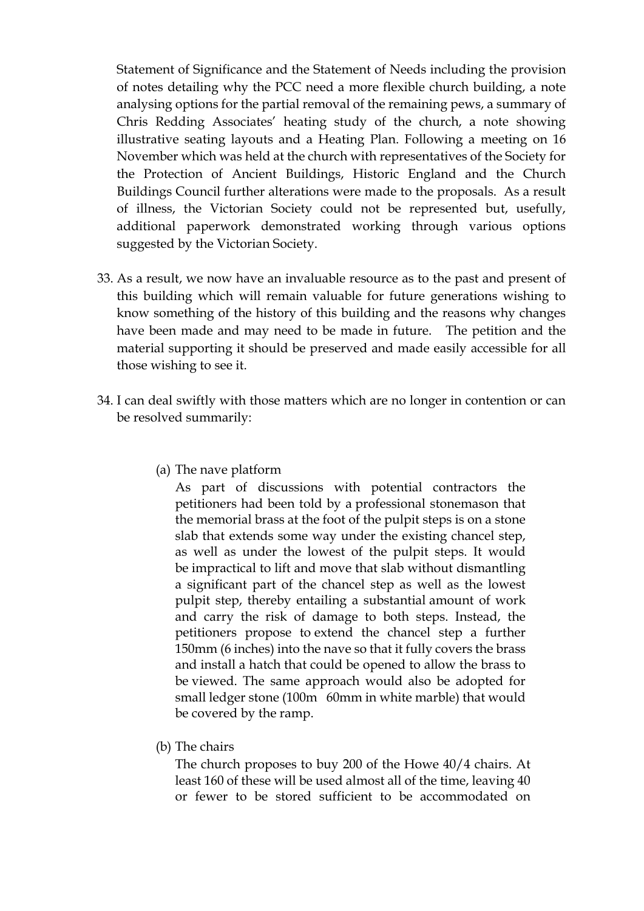Statement of Significance and the Statement of Needs including the provision of notes detailing why the PCC need a more flexible church building, a note analysing options for the partial removal of the remaining pews, a summary of Chris Redding Associates' heating study of the church, a note showing illustrative seating layouts and a Heating Plan. Following a meeting on 16 November which was held at the church with representatives of the Society for the Protection of Ancient Buildings, Historic England and the Church Buildings Council further alterations were made to the proposals. As a result of illness, the Victorian Society could not be represented but, usefully, additional paperwork demonstrated working through various options suggested by the Victorian Society.

- 33. As a result, we now have an invaluable resource as to the past and present of this building which will remain valuable for future generations wishing to know something of the history of this building and the reasons why changes have been made and may need to be made in future. The petition and the material supporting it should be preserved and made easily accessible for all those wishing to see it.
- 34. I can deal swiftly with those matters which are no longer in contention or can be resolved summarily:
	- (a) The nave platform

As part of discussions with potential contractors the petitioners had been told by a professional stonemason that the memorial brass at the foot of the pulpit steps is on a stone slab that extends some way under the existing chancel step, as well as under the lowest of the pulpit steps. It would be impractical to lift and move that slab without dismantling a significant part of the chancel step as well as the lowest pulpit step, thereby entailing a substantial amount of work and carry the risk of damage to both steps. Instead, the petitioners propose to extend the chancel step a further 150mm (6 inches) into the nave so that it fully covers the brass and install a hatch that could be opened to allow the brass to be viewed. The same approach would also be adopted for small ledger stone (100m 60mm in white marble) that would be covered by the ramp.

(b) The chairs

The church proposes to buy 200 of the Howe 40/4 chairs. At least 160 of these will be used almost all of the time, leaving 40 or fewer to be stored sufficient to be accommodated on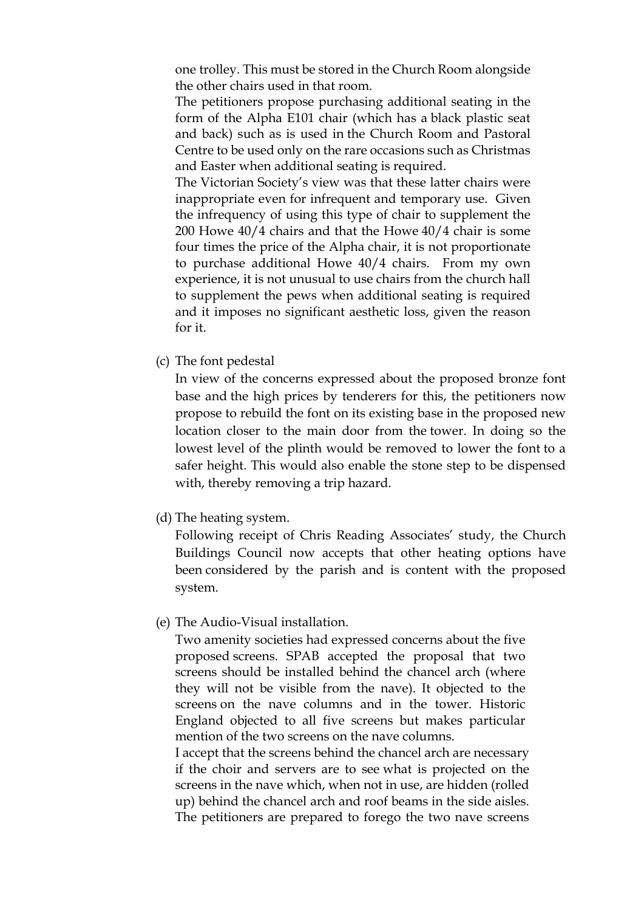one trolley. This must be stored in the Church Room alongside the other chairs used in that room.

The petitioners propose purchasing additional seating in the form of the Alpha E101 chair (which has a black plastic seat and back) such as is used in the Church Room and Pastoral Centre to be used only on the rare occasions such as Christmas and Easter when additional seating is required.

The Victorian Society's view was that these latter chairs were inappropriate even for infrequent and temporary use. Given the infrequency of using this type of chair to supplement the 200 Howe 40/4 chairs and that the Howe 40/4 chair is some four times the price of the Alpha chair, it is not proportionate to purchase additional Howe 40/4 chairs. From my own experience, it is not unusual to use chairs from the church hall to supplement the pews when additional seating is required and it imposes no significant aesthetic loss, given the reason for it.

(c) The font pedestal

In view of the concerns expressed about the proposed bronze font base and the high prices by tenderers for this, the petitioners now propose to rebuild the font on its existing base in the proposed new location closer to the main door from the tower. In doing so the lowest level of the plinth would be removed to lower the font to a safer height. This would also enable the stone step to be dispensed with, thereby removing a trip hazard.

(d) The heating system.

Following receipt of Chris Reading Associates' study, the Church Buildings Council now accepts that other heating options have been considered by the parish and is content with the proposed system.

(e) The Audio-Visual installation.

Two amenity societies had expressed concerns about the five proposed screens. SPAB accepted the proposal that two screens should be installed behind the chancel arch (where they will not be visible from the nave). It objected to the screens on the nave columns and in the tower. Historic England objected to all five screens but makes particular mention of the two screens on the nave columns.

I accept that the screens behind the chancel arch are necessary if the choir and servers are to see what is projected on the screens in the nave which, when not in use, are hidden (rolled up) behind the chancel arch and roof beams in the side aisles. The petitioners are prepared to forego the two nave screens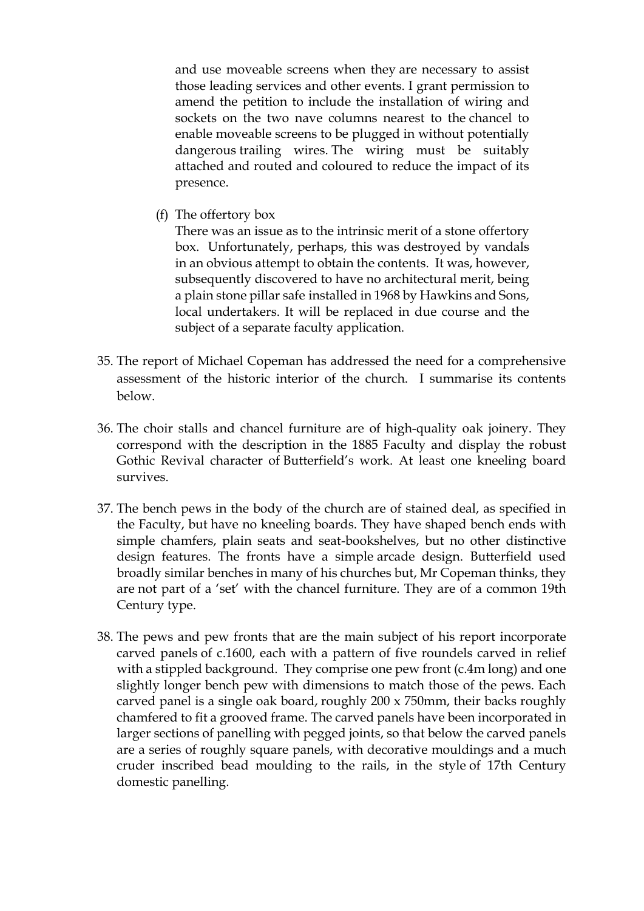and use moveable screens when they are necessary to assist those leading services and other events. I grant permission to amend the petition to include the installation of wiring and sockets on the two nave columns nearest to the chancel to enable moveable screens to be plugged in without potentially dangerous trailing wires. The wiring must be suitably attached and routed and coloured to reduce the impact of its presence.

(f) The offertory box

There was an issue as to the intrinsic merit of a stone offertory box. Unfortunately, perhaps, this was destroyed by vandals in an obvious attempt to obtain the contents. It was, however, subsequently discovered to have no architectural merit, being a plain stone pillar safe installed in 1968 by Hawkins and Sons, local undertakers. It will be replaced in due course and the subject of a separate faculty application.

- 35. The report of Michael Copeman has addressed the need for a comprehensive assessment of the historic interior of the church. I summarise its contents below.
- 36. The choir stalls and chancel furniture are of high-quality oak joinery. They correspond with the description in the 1885 Faculty and display the robust Gothic Revival character of Butterfield's work. At least one kneeling board survives.
- 37. The bench pews in the body of the church are of stained deal, as specified in the Faculty, but have no kneeling boards. They have shaped bench ends with simple chamfers, plain seats and seat-bookshelves, but no other distinctive design features. The fronts have a simple arcade design. Butterfield used broadly similar benches in many of his churches but, Mr Copeman thinks, they are not part of a 'set' with the chancel furniture. They are of a common 19th Century type.
- 38. The pews and pew fronts that are the main subject of his report incorporate carved panels of c.1600, each with a pattern of five roundels carved in relief with a stippled background. They comprise one pew front (c.4m long) and one slightly longer bench pew with dimensions to match those of the pews. Each carved panel is a single oak board, roughly 200 x 750mm, their backs roughly chamfered to fit a grooved frame. The carved panels have been incorporated in larger sections of panelling with pegged joints, so that below the carved panels are a series of roughly square panels, with decorative mouldings and a much cruder inscribed bead moulding to the rails, in the style of 17th Century domestic panelling.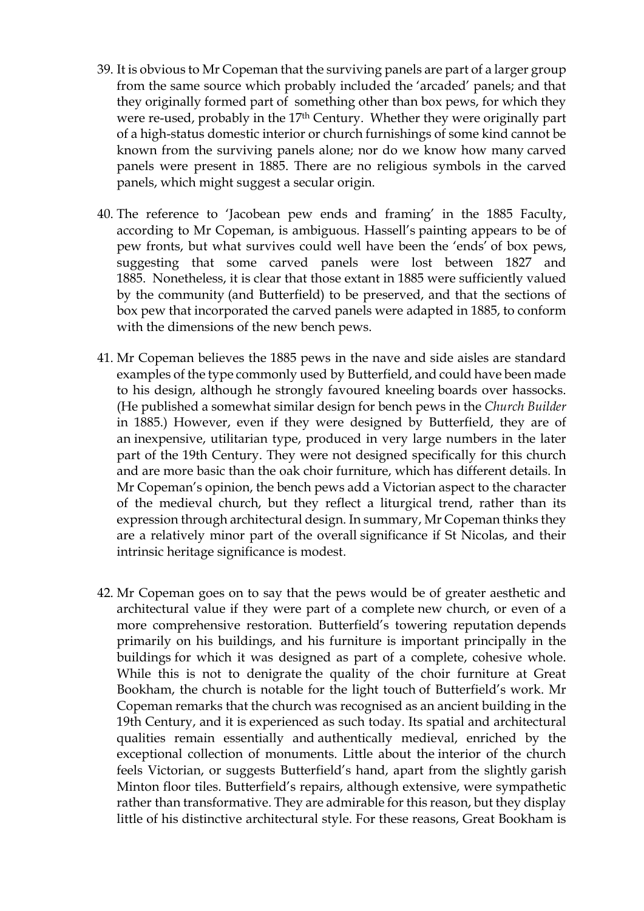- 39. It is obvious to Mr Copeman that the surviving panels are part of a larger group from the same source which probably included the 'arcaded' panels; and that they originally formed part of something other than box pews, for which they were re-used, probably in the 17th Century. Whether they were originally part of a high-status domestic interior or church furnishings of some kind cannot be known from the surviving panels alone; nor do we know how many carved panels were present in 1885. There are no religious symbols in the carved panels, which might suggest a secular origin.
- 40. The reference to 'Jacobean pew ends and framing' in the 1885 Faculty, according to Mr Copeman, is ambiguous. Hassell's painting appears to be of pew fronts, but what survives could well have been the 'ends' of box pews, suggesting that some carved panels were lost between 1827 and 1885. Nonetheless, it is clear that those extant in 1885 were sufficiently valued by the community (and Butterfield) to be preserved, and that the sections of box pew that incorporated the carved panels were adapted in 1885, to conform with the dimensions of the new bench pews.
- 41. Mr Copeman believes the 1885 pews in the nave and side aisles are standard examples of the type commonly used by Butterfield, and could have been made to his design, although he strongly favoured kneeling boards over hassocks. (He published a somewhat similar design for bench pews in the *Church Builder*  in 1885.) However, even if they were designed by Butterfield, they are of an inexpensive, utilitarian type, produced in very large numbers in the later part of the 19th Century. They were not designed specifically for this church and are more basic than the oak choir furniture, which has different details. In Mr Copeman's opinion, the bench pews add a Victorian aspect to the character of the medieval church, but they reflect a liturgical trend, rather than its expression through architectural design. In summary, Mr Copeman thinks they are a relatively minor part of the overall significance if St Nicolas, and their intrinsic heritage significance is modest.
- 42. Mr Copeman goes on to say that the pews would be of greater aesthetic and architectural value if they were part of a complete new church, or even of a more comprehensive restoration. Butterfield's towering reputation depends primarily on his buildings, and his furniture is important principally in the buildings for which it was designed as part of a complete, cohesive whole. While this is not to denigrate the quality of the choir furniture at Great Bookham, the church is notable for the light touch of Butterfield's work. Mr Copeman remarks that the church was recognised as an ancient building in the 19th Century, and it is experienced as such today. Its spatial and architectural qualities remain essentially and authentically medieval, enriched by the exceptional collection of monuments. Little about the interior of the church feels Victorian, or suggests Butterfield's hand, apart from the slightly garish Minton floor tiles. Butterfield's repairs, although extensive, were sympathetic rather than transformative. They are admirable for this reason, but they display little of his distinctive architectural style. For these reasons, Great Bookham is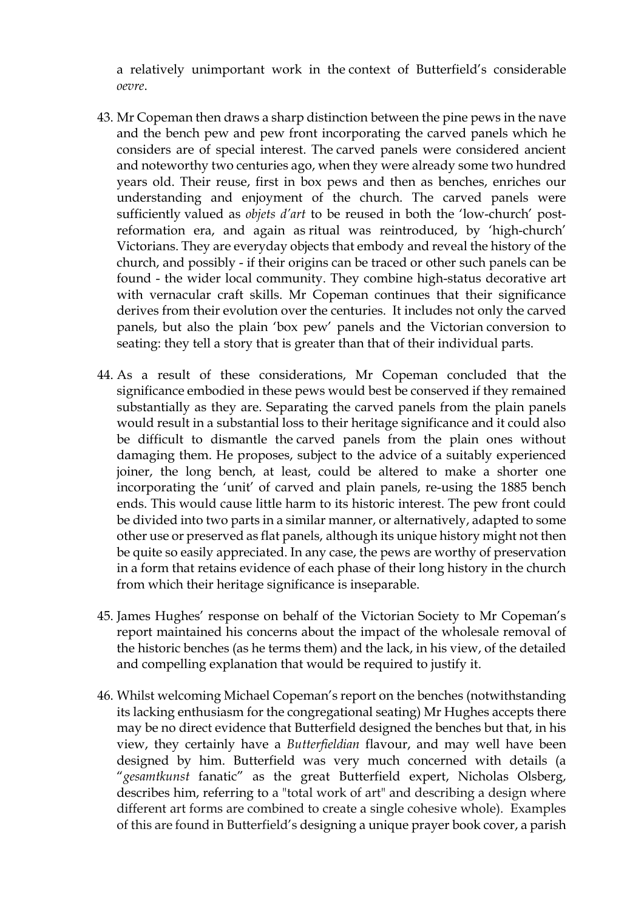a relatively unimportant work in the context of Butterfield's considerable *oevre*.

- 43. Mr Copeman then draws a sharp distinction between the pine pews in the nave and the bench pew and pew front incorporating the carved panels which he considers are of special interest. The carved panels were considered ancient and noteworthy two centuries ago, when they were already some two hundred years old. Their reuse, first in box pews and then as benches, enriches our understanding and enjoyment of the church. The carved panels were sufficiently valued as *objets d'art* to be reused in both the 'low-church' postreformation era, and again as ritual was reintroduced, by 'high-church' Victorians. They are everyday objects that embody and reveal the history of the church, and possibly - if their origins can be traced or other such panels can be found - the wider local community. They combine high-status decorative art with vernacular craft skills. Mr Copeman continues that their significance derives from their evolution over the centuries. It includes not only the carved panels, but also the plain 'box pew' panels and the Victorian conversion to seating: they tell a story that is greater than that of their individual parts.
- 44. As a result of these considerations, Mr Copeman concluded that the significance embodied in these pews would best be conserved if they remained substantially as they are. Separating the carved panels from the plain panels would result in a substantial loss to their heritage significance and it could also be difficult to dismantle the carved panels from the plain ones without damaging them. He proposes, subject to the advice of a suitably experienced joiner, the long bench, at least, could be altered to make a shorter one incorporating the 'unit' of carved and plain panels, re-using the 1885 bench ends. This would cause little harm to its historic interest. The pew front could be divided into two parts in a similar manner, or alternatively, adapted to some other use or preserved as flat panels, although its unique history might not then be quite so easily appreciated. In any case, the pews are worthy of preservation in a form that retains evidence of each phase of their long history in the church from which their heritage significance is inseparable.
- 45. James Hughes' response on behalf of the Victorian Society to Mr Copeman's report maintained his concerns about the impact of the wholesale removal of the historic benches (as he terms them) and the lack, in his view, of the detailed and compelling explanation that would be required to justify it.
- 46. Whilst welcoming Michael Copeman's report on the benches (notwithstanding its lacking enthusiasm for the congregational seating) Mr Hughes accepts there may be no direct evidence that Butterfield designed the benches but that, in his view, they certainly have a *Butterfieldian* flavour, and may well have been designed by him. Butterfield was very much concerned with details (a "*gesamtkunst* fanatic" as the great Butterfield expert, Nicholas Olsberg, describes him, referring to a "total work of art" and describing a design where different art forms are combined to create a single cohesive whole). Examples of this are found in Butterfield's designing a unique prayer book cover, a parish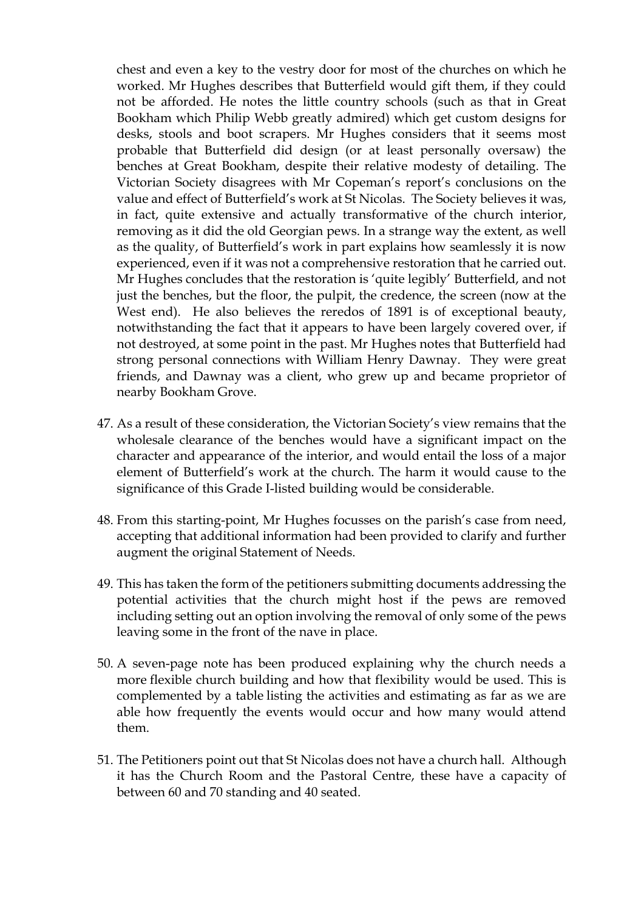chest and even a key to the vestry door for most of the churches on which he worked. Mr Hughes describes that Butterfield would gift them, if they could not be afforded. He notes the little country schools (such as that in Great Bookham which Philip Webb greatly admired) which get custom designs for desks, stools and boot scrapers. Mr Hughes considers that it seems most probable that Butterfield did design (or at least personally oversaw) the benches at Great Bookham, despite their relative modesty of detailing. The Victorian Society disagrees with Mr Copeman's report's conclusions on the value and effect of Butterfield's work at St Nicolas. The Society believes it was, in fact, quite extensive and actually transformative of the church interior, removing as it did the old Georgian pews. In a strange way the extent, as well as the quality, of Butterfield's work in part explains how seamlessly it is now experienced, even if it was not a comprehensive restoration that he carried out. Mr Hughes concludes that the restoration is 'quite legibly' Butterfield, and not just the benches, but the floor, the pulpit, the credence, the screen (now at the West end). He also believes the reredos of 1891 is of exceptional beauty, notwithstanding the fact that it appears to have been largely covered over, if not destroyed, at some point in the past. Mr Hughes notes that Butterfield had strong personal connections with William Henry Dawnay. They were great friends, and Dawnay was a client, who grew up and became proprietor of nearby Bookham Grove.

- 47. As a result of these consideration, the Victorian Society's view remains that the wholesale clearance of the benches would have a significant impact on the character and appearance of the interior, and would entail the loss of a major element of Butterfield's work at the church. The harm it would cause to the significance of this Grade I-listed building would be considerable.
- 48. From this starting-point, Mr Hughes focusses on the parish's case from need, accepting that additional information had been provided to clarify and further augment the original Statement of Needs.
- 49. This has taken the form of the petitioners submitting documents addressing the potential activities that the church might host if the pews are removed including setting out an option involving the removal of only some of the pews leaving some in the front of the nave in place.
- 50. A seven-page note has been produced explaining why the church needs a more flexible church building and how that flexibility would be used. This is complemented by a table listing the activities and estimating as far as we are able how frequently the events would occur and how many would attend them.
- 51. The Petitioners point out that St Nicolas does not have a church hall. Although it has the Church Room and the Pastoral Centre, these have a capacity of between 60 and 70 standing and 40 seated.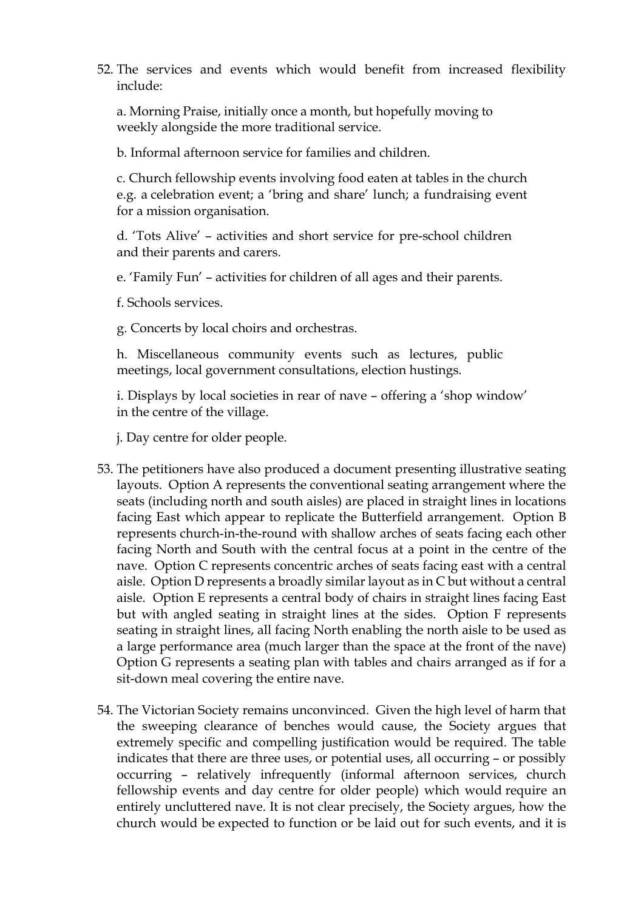52. The services and events which would benefit from increased flexibility include:

a. Morning Praise, initially once a month, but hopefully moving to weekly alongside the more traditional service.

b. Informal afternoon service for families and children.

c. Church fellowship events involving food eaten at tables in the church e.g. a celebration event; a 'bring and share' lunch; a fundraising event for a mission organisation.

d. 'Tots Alive' – activities and short service for pre-school children and their parents and carers.

e. 'Family Fun' – activities for children of all ages and their parents.

f. Schools services.

g. Concerts by local choirs and orchestras.

h. Miscellaneous community events such as lectures, public meetings, local government consultations, election hustings.

i. Displays by local societies in rear of nave – offering a 'shop window' in the centre of the village.

j. Day centre for older people.

- 53. The petitioners have also produced a document presenting illustrative seating layouts. Option A represents the conventional seating arrangement where the seats (including north and south aisles) are placed in straight lines in locations facing East which appear to replicate the Butterfield arrangement. Option B represents church-in-the-round with shallow arches of seats facing each other facing North and South with the central focus at a point in the centre of the nave. Option C represents concentric arches of seats facing east with a central aisle. Option D represents a broadly similar layout as in C but without a central aisle. Option E represents a central body of chairs in straight lines facing East but with angled seating in straight lines at the sides. Option F represents seating in straight lines, all facing North enabling the north aisle to be used as a large performance area (much larger than the space at the front of the nave) Option G represents a seating plan with tables and chairs arranged as if for a sit-down meal covering the entire nave.
- 54. The Victorian Society remains unconvinced. Given the high level of harm that the sweeping clearance of benches would cause, the Society argues that extremely specific and compelling justification would be required. The table indicates that there are three uses, or potential uses, all occurring – or possibly occurring – relatively infrequently (informal afternoon services, church fellowship events and day centre for older people) which would require an entirely uncluttered nave. It is not clear precisely, the Society argues, how the church would be expected to function or be laid out for such events, and it is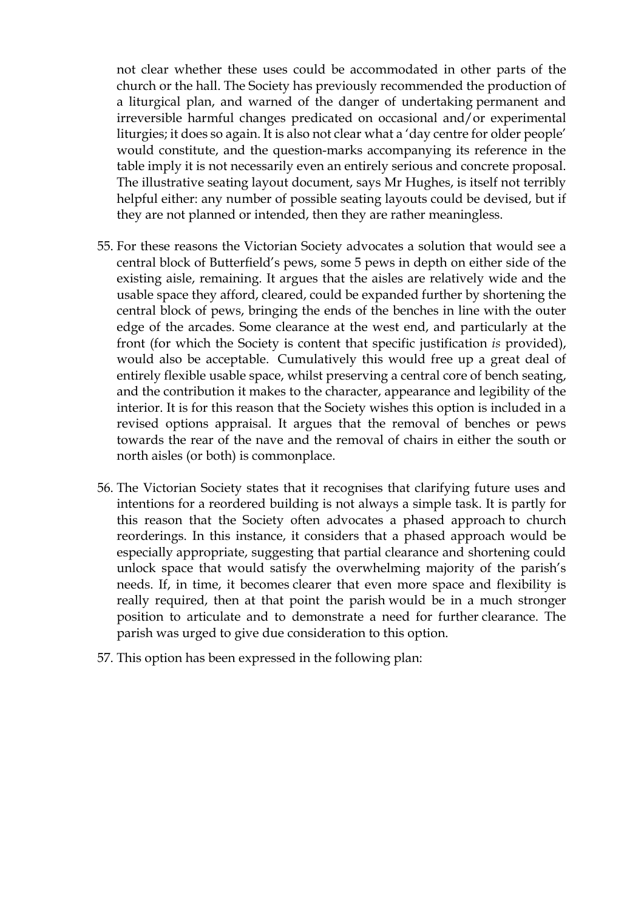not clear whether these uses could be accommodated in other parts of the church or the hall. The Society has previously recommended the production of a liturgical plan, and warned of the danger of undertaking permanent and irreversible harmful changes predicated on occasional and/or experimental liturgies; it does so again. It is also not clear what a 'day centre for older people' would constitute, and the question-marks accompanying its reference in the table imply it is not necessarily even an entirely serious and concrete proposal. The illustrative seating layout document, says Mr Hughes, is itself not terribly helpful either: any number of possible seating layouts could be devised, but if they are not planned or intended, then they are rather meaningless.

- 55. For these reasons the Victorian Society advocates a solution that would see a central block of Butterfield's pews, some 5 pews in depth on either side of the existing aisle, remaining. It argues that the aisles are relatively wide and the usable space they afford, cleared, could be expanded further by shortening the central block of pews, bringing the ends of the benches in line with the outer edge of the arcades. Some clearance at the west end, and particularly at the front (for which the Society is content that specific justification *is* provided), would also be acceptable. Cumulatively this would free up a great deal of entirely flexible usable space, whilst preserving a central core of bench seating, and the contribution it makes to the character, appearance and legibility of the interior. It is for this reason that the Society wishes this option is included in a revised options appraisal. It argues that the removal of benches or pews towards the rear of the nave and the removal of chairs in either the south or north aisles (or both) is commonplace.
- 56. The Victorian Society states that it recognises that clarifying future uses and intentions for a reordered building is not always a simple task. It is partly for this reason that the Society often advocates a phased approach to church reorderings. In this instance, it considers that a phased approach would be especially appropriate, suggesting that partial clearance and shortening could unlock space that would satisfy the overwhelming majority of the parish's needs. If, in time, it becomes clearer that even more space and flexibility is really required, then at that point the parish would be in a much stronger position to articulate and to demonstrate a need for further clearance. The parish was urged to give due consideration to this option.
- 57. This option has been expressed in the following plan: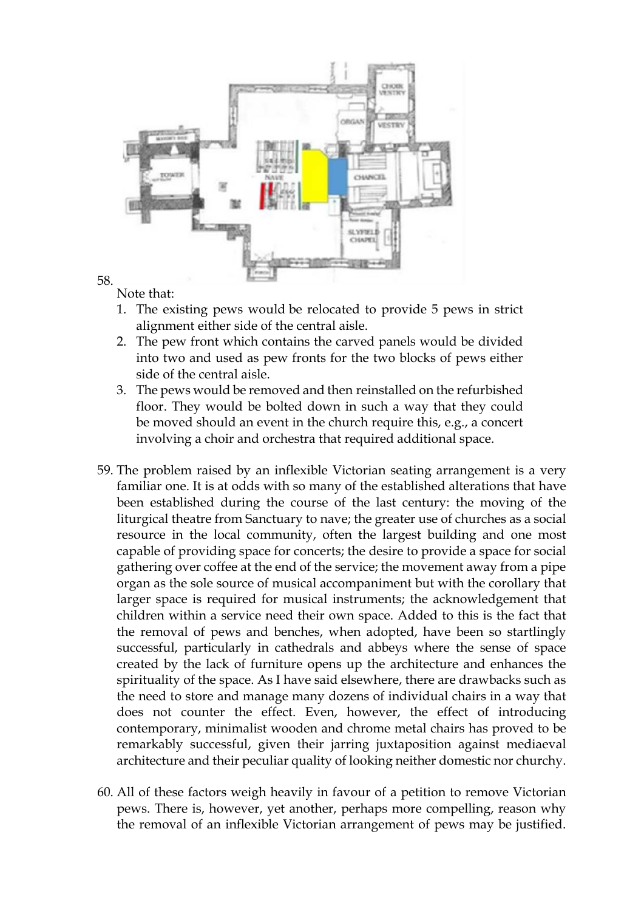

58. Note that:

- 1. The existing pews would be relocated to provide 5 pews in strict alignment either side of the central aisle.
- 2. The pew front which contains the carved panels would be divided into two and used as pew fronts for the two blocks of pews either side of the central aisle.
- 3. The pews would be removed and then reinstalled on the refurbished floor. They would be bolted down in such a way that they could be moved should an event in the church require this, e.g., a concert involving a choir and orchestra that required additional space.
- 59. The problem raised by an inflexible Victorian seating arrangement is a very familiar one. It is at odds with so many of the established alterations that have been established during the course of the last century: the moving of the liturgical theatre from Sanctuary to nave; the greater use of churches as a social resource in the local community, often the largest building and one most capable of providing space for concerts; the desire to provide a space for social gathering over coffee at the end of the service; the movement away from a pipe organ as the sole source of musical accompaniment but with the corollary that larger space is required for musical instruments; the acknowledgement that children within a service need their own space. Added to this is the fact that the removal of pews and benches, when adopted, have been so startlingly successful, particularly in cathedrals and abbeys where the sense of space created by the lack of furniture opens up the architecture and enhances the spirituality of the space. As I have said elsewhere, there are drawbacks such as the need to store and manage many dozens of individual chairs in a way that does not counter the effect. Even, however, the effect of introducing contemporary, minimalist wooden and chrome metal chairs has proved to be remarkably successful, given their jarring juxtaposition against mediaeval architecture and their peculiar quality of looking neither domestic nor churchy.
- 60. All of these factors weigh heavily in favour of a petition to remove Victorian pews. There is, however, yet another, perhaps more compelling, reason why the removal of an inflexible Victorian arrangement of pews may be justified.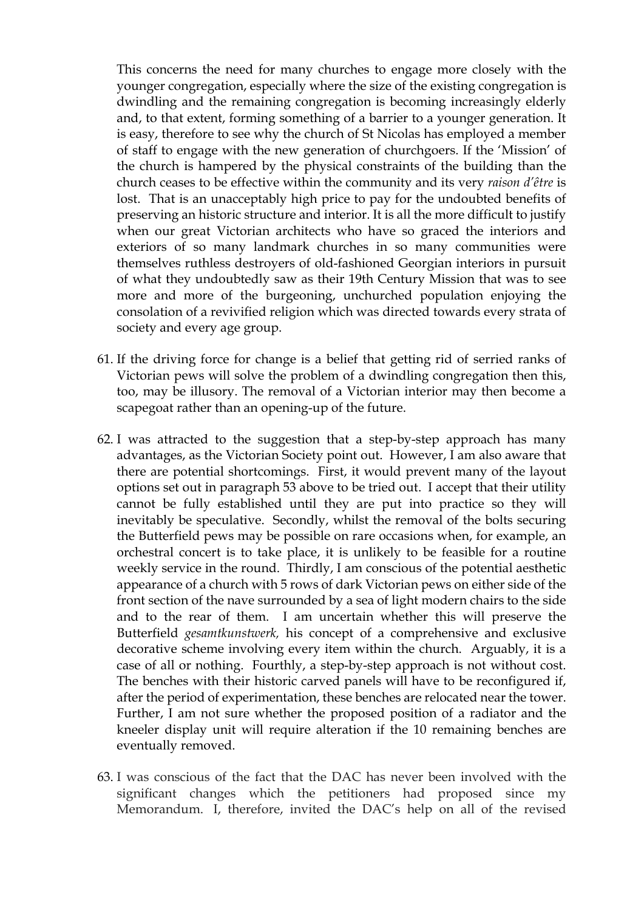This concerns the need for many churches to engage more closely with the younger congregation, especially where the size of the existing congregation is dwindling and the remaining congregation is becoming increasingly elderly and, to that extent, forming something of a barrier to a younger generation. It is easy, therefore to see why the church of St Nicolas has employed a member of staff to engage with the new generation of churchgoers. If the 'Mission' of the church is hampered by the physical constraints of the building than the church ceases to be effective within the community and its very *raison d'être* is lost. That is an unacceptably high price to pay for the undoubted benefits of preserving an historic structure and interior. It is all the more difficult to justify when our great Victorian architects who have so graced the interiors and exteriors of so many landmark churches in so many communities were themselves ruthless destroyers of old-fashioned Georgian interiors in pursuit of what they undoubtedly saw as their 19th Century Mission that was to see more and more of the burgeoning, unchurched population enjoying the consolation of a revivified religion which was directed towards every strata of society and every age group.

- 61. If the driving force for change is a belief that getting rid of serried ranks of Victorian pews will solve the problem of a dwindling congregation then this, too, may be illusory. The removal of a Victorian interior may then become a scapegoat rather than an opening-up of the future.
- 62. I was attracted to the suggestion that a step-by-step approach has many advantages, as the Victorian Society point out. However, I am also aware that there are potential shortcomings. First, it would prevent many of the layout options set out in paragraph 53 above to be tried out. I accept that their utility cannot be fully established until they are put into practice so they will inevitably be speculative. Secondly, whilst the removal of the bolts securing the Butterfield pews may be possible on rare occasions when, for example, an orchestral concert is to take place, it is unlikely to be feasible for a routine weekly service in the round. Thirdly, I am conscious of the potential aesthetic appearance of a church with 5 rows of dark Victorian pews on either side of the front section of the nave surrounded by a sea of light modern chairs to the side and to the rear of them. I am uncertain whether this will preserve the Butterfield *gesamtkunstwerk,* his concept of a comprehensive and exclusive decorative scheme involving every item within the church. Arguably, it is a case of all or nothing. Fourthly, a step-by-step approach is not without cost. The benches with their historic carved panels will have to be reconfigured if, after the period of experimentation, these benches are relocated near the tower. Further, I am not sure whether the proposed position of a radiator and the kneeler display unit will require alteration if the 10 remaining benches are eventually removed.
- 63. I was conscious of the fact that the DAC has never been involved with the significant changes which the petitioners had proposed since my Memorandum. I, therefore, invited the DAC's help on all of the revised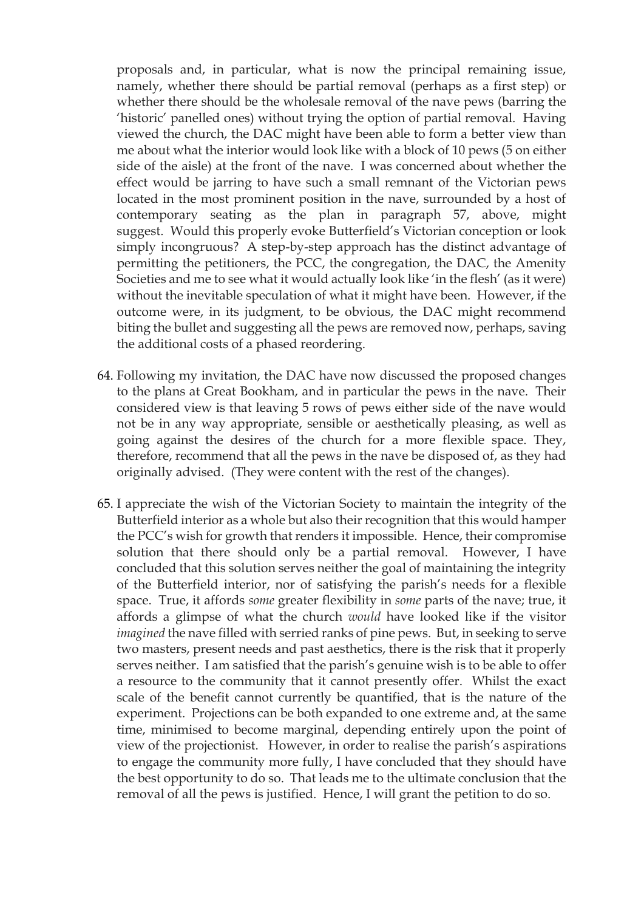proposals and, in particular, what is now the principal remaining issue, namely, whether there should be partial removal (perhaps as a first step) or whether there should be the wholesale removal of the nave pews (barring the 'historic' panelled ones) without trying the option of partial removal. Having viewed the church, the DAC might have been able to form a better view than me about what the interior would look like with a block of 10 pews (5 on either side of the aisle) at the front of the nave. I was concerned about whether the effect would be jarring to have such a small remnant of the Victorian pews located in the most prominent position in the nave, surrounded by a host of contemporary seating as the plan in paragraph 57, above, might suggest. Would this properly evoke Butterfield's Victorian conception or look simply incongruous? A step-by-step approach has the distinct advantage of permitting the petitioners, the PCC, the congregation, the DAC, the Amenity Societies and me to see what it would actually look like 'in the flesh' (as it were) without the inevitable speculation of what it might have been. However, if the outcome were, in its judgment, to be obvious, the DAC might recommend biting the bullet and suggesting all the pews are removed now, perhaps, saving the additional costs of a phased reordering.

- 64. Following my invitation, the DAC have now discussed the proposed changes to the plans at Great Bookham, and in particular the pews in the nave. Their considered view is that leaving 5 rows of pews either side of the nave would not be in any way appropriate, sensible or aesthetically pleasing, as well as going against the desires of the church for a more flexible space. They, therefore, recommend that all the pews in the nave be disposed of, as they had originally advised. (They were content with the rest of the changes).
- 65. I appreciate the wish of the Victorian Society to maintain the integrity of the Butterfield interior as a whole but also their recognition that this would hamper the PCC's wish for growth that renders it impossible. Hence, their compromise solution that there should only be a partial removal. However, I have concluded that this solution serves neither the goal of maintaining the integrity of the Butterfield interior, nor of satisfying the parish's needs for a flexible space. True, it affords *some* greater flexibility in *some* parts of the nave; true, it affords a glimpse of what the church *would* have looked like if the visitor *imagined* the nave filled with serried ranks of pine pews. But, in seeking to serve two masters, present needs and past aesthetics, there is the risk that it properly serves neither. I am satisfied that the parish's genuine wish is to be able to offer a resource to the community that it cannot presently offer. Whilst the exact scale of the benefit cannot currently be quantified, that is the nature of the experiment. Projections can be both expanded to one extreme and, at the same time, minimised to become marginal, depending entirely upon the point of view of the projectionist. However, in order to realise the parish's aspirations to engage the community more fully, I have concluded that they should have the best opportunity to do so. That leads me to the ultimate conclusion that the removal of all the pews is justified. Hence, I will grant the petition to do so.